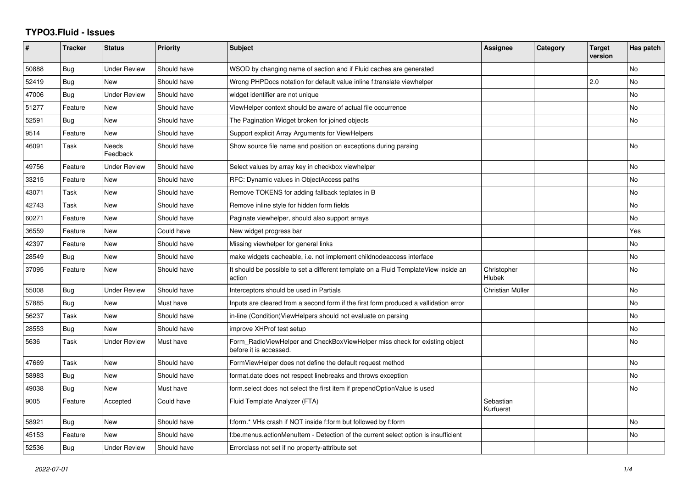## **TYPO3.Fluid - Issues**

| #     | <b>Tracker</b> | <b>Status</b>            | <b>Priority</b> | <b>Subject</b>                                                                                       | Assignee               | Category | <b>Target</b><br>version | Has patch      |
|-------|----------------|--------------------------|-----------------|------------------------------------------------------------------------------------------------------|------------------------|----------|--------------------------|----------------|
| 50888 | Bug            | <b>Under Review</b>      | Should have     | WSOD by changing name of section and if Fluid caches are generated                                   |                        |          |                          | No             |
| 52419 | Bug            | <b>New</b>               | Should have     | Wrong PHPDocs notation for default value inline f:translate viewhelper                               |                        |          | 2.0                      | No             |
| 47006 | Bug            | <b>Under Review</b>      | Should have     | widget identifier are not unique                                                                     |                        |          |                          | No             |
| 51277 | Feature        | New                      | Should have     | ViewHelper context should be aware of actual file occurrence                                         |                        |          |                          | No             |
| 52591 | Bug            | <b>New</b>               | Should have     | The Pagination Widget broken for joined objects                                                      |                        |          |                          | No             |
| 9514  | Feature        | <b>New</b>               | Should have     | Support explicit Array Arguments for ViewHelpers                                                     |                        |          |                          |                |
| 46091 | Task           | <b>Needs</b><br>Feedback | Should have     | Show source file name and position on exceptions during parsing                                      |                        |          |                          | No             |
| 49756 | Feature        | <b>Under Review</b>      | Should have     | Select values by array key in checkbox viewhelper                                                    |                        |          |                          | No             |
| 33215 | Feature        | <b>New</b>               | Should have     | RFC: Dynamic values in ObjectAccess paths                                                            |                        |          |                          | <b>No</b>      |
| 43071 | Task           | <b>New</b>               | Should have     | Remove TOKENS for adding fallback teplates in B                                                      |                        |          |                          | No             |
| 42743 | Task           | New                      | Should have     | Remove inline style for hidden form fields                                                           |                        |          |                          | No             |
| 60271 | Feature        | New                      | Should have     | Paginate viewhelper, should also support arrays                                                      |                        |          |                          | No.            |
| 36559 | Feature        | <b>New</b>               | Could have      | New widget progress bar                                                                              |                        |          |                          | Yes            |
| 42397 | Feature        | <b>New</b>               | Should have     | Missing viewhelper for general links                                                                 |                        |          |                          | N <sub>o</sub> |
| 28549 | Bug            | <b>New</b>               | Should have     | make widgets cacheable, i.e. not implement childnodeaccess interface                                 |                        |          |                          | No             |
| 37095 | Feature        | New                      | Should have     | It should be possible to set a different template on a Fluid TemplateView inside an<br>action        | Christopher<br>Hlubek  |          |                          | No.            |
| 55008 | Bug            | <b>Under Review</b>      | Should have     | Interceptors should be used in Partials                                                              | Christian Müller       |          |                          | No             |
| 57885 | Bug            | <b>New</b>               | Must have       | Inputs are cleared from a second form if the first form produced a vallidation error                 |                        |          |                          | No             |
| 56237 | Task           | New                      | Should have     | in-line (Condition) View Helpers should not evaluate on parsing                                      |                        |          |                          | No             |
| 28553 | Bug            | <b>New</b>               | Should have     | improve XHProf test setup                                                                            |                        |          |                          | No             |
| 5636  | Task           | <b>Under Review</b>      | Must have       | Form_RadioViewHelper and CheckBoxViewHelper miss check for existing object<br>before it is accessed. |                        |          |                          | No             |
| 47669 | Task           | <b>New</b>               | Should have     | FormViewHelper does not define the default request method                                            |                        |          |                          | No             |
| 58983 | Bug            | <b>New</b>               | Should have     | format.date does not respect linebreaks and throws exception                                         |                        |          |                          | No             |
| 49038 | Bug            | <b>New</b>               | Must have       | form select does not select the first item if prependOptionValue is used                             |                        |          |                          | No             |
| 9005  | Feature        | Accepted                 | Could have      | Fluid Template Analyzer (FTA)                                                                        | Sebastian<br>Kurfuerst |          |                          |                |
| 58921 | <b>Bug</b>     | <b>New</b>               | Should have     | f:form.* VHs crash if NOT inside f:form but followed by f:form                                       |                        |          |                          | <b>No</b>      |
| 45153 | Feature        | <b>New</b>               | Should have     | f:be.menus.actionMenuItem - Detection of the current select option is insufficient                   |                        |          |                          | No             |
| 52536 | Bug            | <b>Under Review</b>      | Should have     | Errorclass not set if no property-attribute set                                                      |                        |          |                          |                |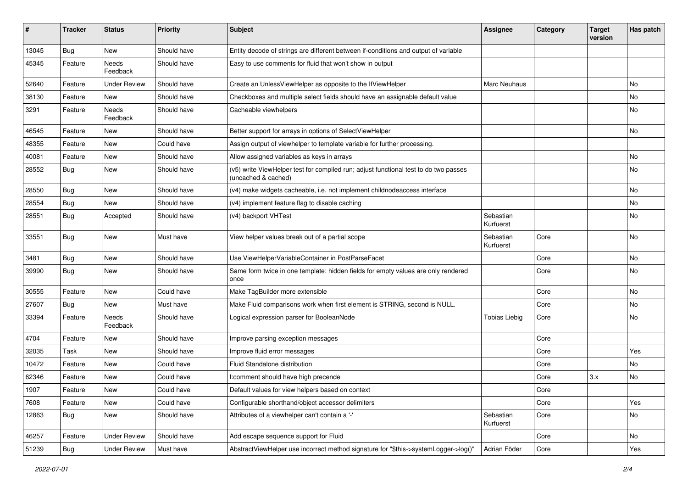| #     | <b>Tracker</b> | <b>Status</b>       | <b>Priority</b> | <b>Subject</b>                                                                                              | <b>Assignee</b>        | Category | <b>Target</b><br>version | Has patch |
|-------|----------------|---------------------|-----------------|-------------------------------------------------------------------------------------------------------------|------------------------|----------|--------------------------|-----------|
| 13045 | Bug            | New                 | Should have     | Entity decode of strings are different between if-conditions and output of variable                         |                        |          |                          |           |
| 45345 | Feature        | Needs<br>Feedback   | Should have     | Easy to use comments for fluid that won't show in output                                                    |                        |          |                          |           |
| 52640 | Feature        | <b>Under Review</b> | Should have     | Create an UnlessViewHelper as opposite to the IfViewHelper                                                  | Marc Neuhaus           |          |                          | No        |
| 38130 | Feature        | New                 | Should have     | Checkboxes and multiple select fields should have an assignable default value                               |                        |          |                          | No        |
| 3291  | Feature        | Needs<br>Feedback   | Should have     | Cacheable viewhelpers                                                                                       |                        |          |                          | No        |
| 46545 | Feature        | New                 | Should have     | Better support for arrays in options of SelectViewHelper                                                    |                        |          |                          | No        |
| 48355 | Feature        | <b>New</b>          | Could have      | Assign output of viewhelper to template variable for further processing.                                    |                        |          |                          |           |
| 40081 | Feature        | New                 | Should have     | Allow assigned variables as keys in arrays                                                                  |                        |          |                          | No        |
| 28552 | <b>Bug</b>     | New                 | Should have     | (v5) write ViewHelper test for compiled run; adjust functional test to do two passes<br>(uncached & cached) |                        |          |                          | No        |
| 28550 | Bug            | <b>New</b>          | Should have     | (v4) make widgets cacheable, i.e. not implement childnodeaccess interface                                   |                        |          |                          | No        |
| 28554 | Bug            | <b>New</b>          | Should have     | (v4) implement feature flag to disable caching                                                              |                        |          |                          | <b>No</b> |
| 28551 | Bug            | Accepted            | Should have     | (v4) backport VHTest                                                                                        | Sebastian<br>Kurfuerst |          |                          | No        |
| 33551 | Bug            | <b>New</b>          | Must have       | View helper values break out of a partial scope                                                             | Sebastian<br>Kurfuerst | Core     |                          | No        |
| 3481  | Bug            | <b>New</b>          | Should have     | Use ViewHelperVariableContainer in PostParseFacet                                                           |                        | Core     |                          | No        |
| 39990 | Bug            | <b>New</b>          | Should have     | Same form twice in one template: hidden fields for empty values are only rendered<br>once                   |                        | Core     |                          | No        |
| 30555 | Feature        | New                 | Could have      | Make TagBuilder more extensible                                                                             |                        | Core     |                          | <b>No</b> |
| 27607 | Bug            | New                 | Must have       | Make Fluid comparisons work when first element is STRING, second is NULL.                                   |                        | Core     |                          | No        |
| 33394 | Feature        | Needs<br>Feedback   | Should have     | Logical expression parser for BooleanNode                                                                   | <b>Tobias Liebig</b>   | Core     |                          | No        |
| 4704  | Feature        | New                 | Should have     | Improve parsing exception messages                                                                          |                        | Core     |                          |           |
| 32035 | Task           | New                 | Should have     | Improve fluid error messages                                                                                |                        | Core     |                          | Yes       |
| 10472 | Feature        | New                 | Could have      | Fluid Standalone distribution                                                                               |                        | Core     |                          | No        |
| 62346 | Feature        | New                 | Could have      | f:comment should have high precende                                                                         |                        | Core     | 3.x                      | No        |
| 1907  | Feature        | New                 | Could have      | Default values for view helpers based on context                                                            |                        | Core     |                          |           |
| 7608  | Feature        | New                 | Could have      | Configurable shorthand/object accessor delimiters                                                           |                        | Core     |                          | Yes       |
| 12863 | Bug            | New                 | Should have     | Attributes of a viewhelper can't contain a '-'                                                              | Sebastian<br>Kurfuerst | Core     |                          | No        |
| 46257 | Feature        | <b>Under Review</b> | Should have     | Add escape sequence support for Fluid                                                                       |                        | Core     |                          | No        |
| 51239 | <b>Bug</b>     | <b>Under Review</b> | Must have       | AbstractViewHelper use incorrect method signature for "\$this->systemLogger->log()"                         | Adrian Föder           | Core     |                          | Yes       |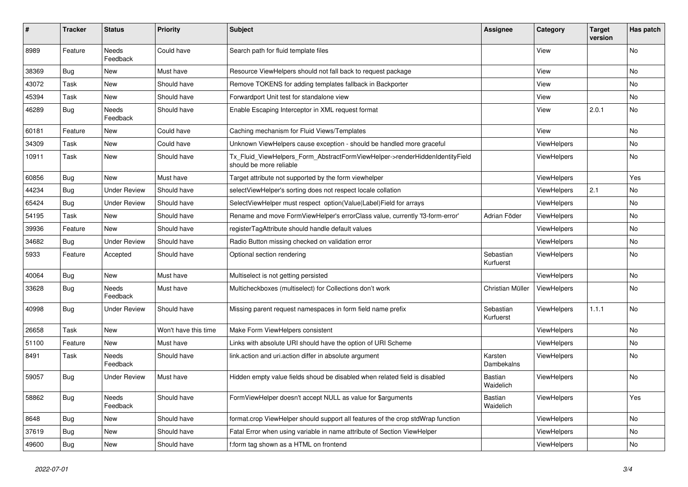| #     | <b>Tracker</b> | <b>Status</b>            | <b>Priority</b>      | <b>Subject</b>                                                                                         | Assignee               | Category           | Target<br>version | Has patch |
|-------|----------------|--------------------------|----------------------|--------------------------------------------------------------------------------------------------------|------------------------|--------------------|-------------------|-----------|
| 8989  | Feature        | Needs<br>Feedback        | Could have           | Search path for fluid template files                                                                   |                        | View               |                   | No        |
| 38369 | <b>Bug</b>     | New                      | Must have            | Resource ViewHelpers should not fall back to request package                                           |                        | View               |                   | No        |
| 43072 | Task           | New                      | Should have          | Remove TOKENS for adding templates fallback in Backporter                                              |                        | View               |                   | No        |
| 45394 | Task           | New                      | Should have          | Forwardport Unit test for standalone view                                                              |                        | View               |                   | No        |
| 46289 | Bug            | Needs<br>Feedback        | Should have          | Enable Escaping Interceptor in XML request format                                                      |                        | View               | 2.0.1             | No        |
| 60181 | Feature        | New                      | Could have           | Caching mechanism for Fluid Views/Templates                                                            |                        | View               |                   | No        |
| 34309 | Task           | New                      | Could have           | Unknown ViewHelpers cause exception - should be handled more graceful                                  |                        | ViewHelpers        |                   | No        |
| 10911 | Task           | <b>New</b>               | Should have          | Tx Fluid ViewHelpers Form AbstractFormViewHelper->renderHiddenIdentityField<br>should be more reliable |                        | ViewHelpers        |                   | No        |
| 60856 | Bug            | <b>New</b>               | Must have            | Target attribute not supported by the form viewhelper                                                  |                        | <b>ViewHelpers</b> |                   | Yes       |
| 44234 | <b>Bug</b>     | <b>Under Review</b>      | Should have          | selectViewHelper's sorting does not respect locale collation                                           |                        | <b>ViewHelpers</b> | 2.1               | No.       |
| 65424 | Bug            | <b>Under Review</b>      | Should have          | SelectViewHelper must respect option(Value Label)Field for arrays                                      |                        | ViewHelpers        |                   | <b>No</b> |
| 54195 | Task           | New                      | Should have          | Rename and move FormViewHelper's errorClass value, currently 'f3-form-error'                           | Adrian Föder           | ViewHelpers        |                   | No        |
| 39936 | Feature        | New                      | Should have          | registerTagAttribute should handle default values                                                      |                        | ViewHelpers        |                   | No        |
| 34682 | Bug            | <b>Under Review</b>      | Should have          | Radio Button missing checked on validation error                                                       |                        | <b>ViewHelpers</b> |                   | No        |
| 5933  | Feature        | Accepted                 | Should have          | Optional section rendering                                                                             | Sebastian<br>Kurfuerst | <b>ViewHelpers</b> |                   | No        |
| 40064 | <b>Bug</b>     | New                      | Must have            | Multiselect is not getting persisted                                                                   |                        | <b>ViewHelpers</b> |                   | No.       |
| 33628 | Bug            | Needs<br>Feedback        | Must have            | Multicheckboxes (multiselect) for Collections don't work                                               | Christian Müller       | <b>ViewHelpers</b> |                   | No        |
| 40998 | Bug            | <b>Under Review</b>      | Should have          | Missing parent request namespaces in form field name prefix                                            | Sebastian<br>Kurfuerst | ViewHelpers        | 1.1.1             | No        |
| 26658 | Task           | <b>New</b>               | Won't have this time | Make Form ViewHelpers consistent                                                                       |                        | <b>ViewHelpers</b> |                   | No        |
| 51100 | Feature        | New                      | Must have            | Links with absolute URI should have the option of URI Scheme                                           |                        | <b>ViewHelpers</b> |                   | No.       |
| 8491  | Task           | <b>Needs</b><br>Feedback | Should have          | link.action and uri.action differ in absolute argument                                                 | Karsten<br>Dambekalns  | <b>ViewHelpers</b> |                   | No        |
| 59057 | <b>Bug</b>     | <b>Under Review</b>      | Must have            | Hidden empty value fields shoud be disabled when related field is disabled                             | Bastian<br>Waidelich   | <b>ViewHelpers</b> |                   | No        |
| 58862 | Bug            | Needs<br>Feedback        | Should have          | FormViewHelper doesn't accept NULL as value for \$arguments                                            | Bastian<br>Waidelich   | <b>ViewHelpers</b> |                   | Yes       |
| 8648  | <b>Bug</b>     | New                      | Should have          | format.crop ViewHelper should support all features of the crop stdWrap function                        |                        | <b>ViewHelpers</b> |                   | No        |
| 37619 | Bug            | <b>New</b>               | Should have          | Fatal Error when using variable in name attribute of Section ViewHelper                                |                        | ViewHelpers        |                   | <b>No</b> |
| 49600 | Bug            | New                      | Should have          | f:form tag shown as a HTML on frontend                                                                 |                        | ViewHelpers        |                   | No        |